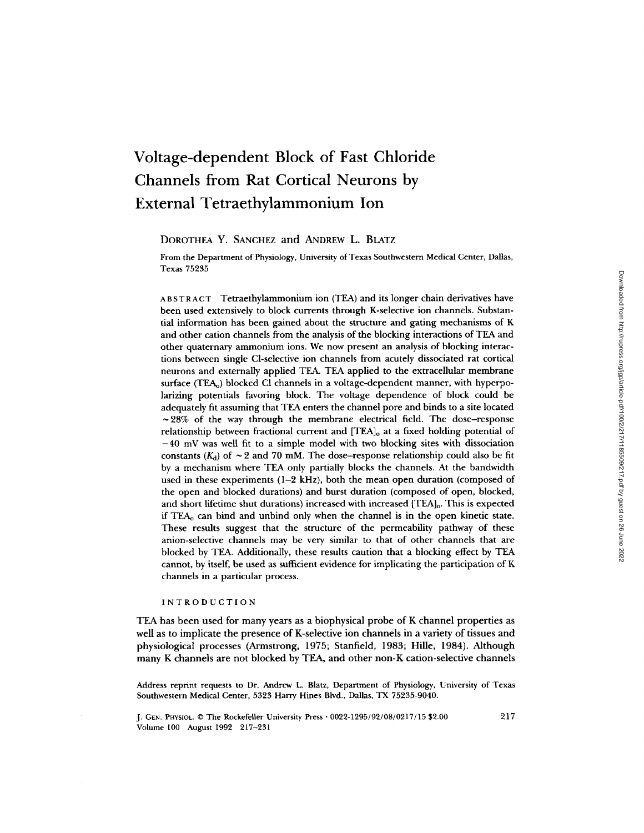# **Voltage-dependent Block of Fast Chloride Channels from Rat Cortical Neurons by External Tetraethylammonium Ion**

DOROTHEA **Y.** SANCHEZ and ANDREW L. BLATZ

From the Department of Physiology, University of Texas Southwestern Medical Center, Dallas, Texas 75235

ABSTRACT Tetraethylammonium ion (TEA) and its longer chain derivatives have been used extensively to block currents through K-selective ion channels. Substantial information has been gained about the structure and gating mechanisms of K and other cation channels from the analysis of the blocking interactions of TEA and other quaternary ammonium ions. We now present an analysis of blocking interactions between single Cl-selective ion channels from acutely dissociated rat cortical neurons and externally applied TEA. TEA applied to the extracellular membrane surface (TEA<sub>o</sub>) blocked Cl channels in a voltage-dependent manner, with hyperpolarizing potentials favoring block. The voltage dependence of block could be adequately fit assuming that TEA enters the channel pore and binds to a site located  $\sim$  28% of the way through the membrane electrical field. The dose–response relationship between fractional current and [TEA]<sub>o</sub> at a fixed holding potential of  $-40$  mV was well fit to a simple model with two blocking sites with dissociation constants ( $K_d$ ) of  $\sim$  2 and 70 mM. The dose–response relationship could also be fit by a mechanism where TEA only partially blocks the channels. At the bandwidth used in these experiments (1-2 kHz), both the mean open duration (composed of the open and blocked durations) and burst duration (composed of open, blocked, and short lifetime shut durations) increased with increased [TEA]<sub>0</sub>. This is expected if TEAo can bind and unbind only when the channel is in the open kinetic state. These results suggest that the structure of the permeability pathway of these anion-selective channels may be very similar to that of other channels that are blocked by TEA. Additionally, these results caution that a blocking effect by TEA cannot, by itself, be used as sufficient evidence for implicating the participation of K channels in a particular process.

# INTRODUCTION

TEA has been used for many years as a biophysical probe of K channel properties as well as to implicate the presence of K-selective ion channels in a variety of tissues and physiological processes (Armstrong, 1975; Stanfield, 1983; Hille, 1984). Although many K channels are not blocked by TEA, and other non-K cation-selective channels

Address reprint requests to Dr. Andrew L. Blatz, Department of Physiology, University of Texas Southwestern Medical Center, 5323 Harry Hines Blvd., Dallas, TX 75235-9040.

J. GEN. PFIYSIOL. © The Rockefeller University Press • 0022-1295/92/08/0217/15 \$2.00 Volume 100 August 1992 217-231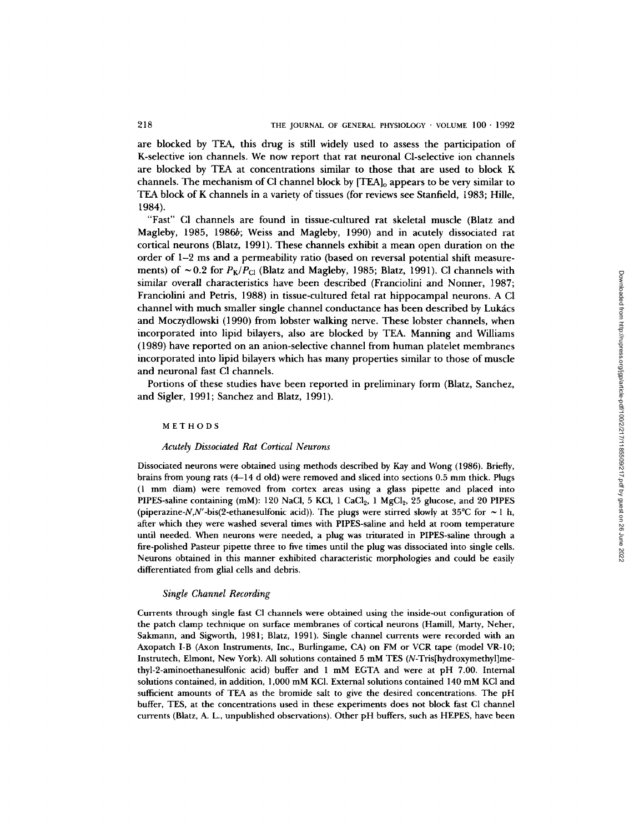are blocked by TEA, this drug is still widely used to assess the participation of K-selective ion channels. We now report that rat neuronal Cl-selective ion channels are blocked by TEA at concentrations similar to those that are used to block K channels. The mechanism of CI channel block by  $[TEA]_0$  appears to be very similar to TEA block of K channels in a variety of tissues (for reviews see Stanfield, 1983; Hille, 1984).

"Fast" CI channels are found in tissue-cultured rat skeletal muscle (Blatz and Magleby, 1985, 1986b; Weiss and Magleby, 1990) and in acutely dissociated rat cortical neurons (Blatz, 1991). These channels exhibit a mean open duration on the order of 1-2 ms and a permeability ratio (based on reversal potential shift measurements) of  $\sim 0.2$  for  $P_K/P_{Cl}$  (Blatz and Magleby, 1985; Blatz, 1991). Cl channels with similar overall characteristics have been described (Franciolini and Nonner, 1987; Franciolini and Petris, 1988) in tissue-cultured fetal rat hippocampal neurons. A C1 channel with much smaller single channel conductance has been described by Lukács and Moczydlowski (1990) from lobster walking nerve. These lobster channels, when incorporated into lipid bilayers, also are blocked by TEA. Manning and Williams (1989) have reported on an anion-selective channel from human platelet membranes incorporated into lipid bilayers which has many properties similar to those of muscle and neuronal fast C1 channels.

Portions of these studies have been reported in preliminary form (Blatz, Sanchez, and Sigler, 1991; Sanchez and Blatz, 1991).

#### METHODS

#### *Acutely Dissociated Rat Cortical Neurons*

Dissociated neurons were obtained using methods described by Kay and Wong (1986). Briefly, brains from young rats (4-14 d old) were removed and sliced into sections 0.5 mm thick. Plugs (1 mm diam) were removed from cortex areas using a glass pipette and placed into PIPES-saline containing (mM): 120 NaCl, 5 KCl, 1 CaCl<sub>2</sub>, 1 MgCl<sub>2</sub>, 25 glucose, and 20 PIPES (piperazine-N,N'-bis(2-ethanesulfonic acid)). The plugs were stirred slowly at 35°C for  $\sim$  1 h, after which they were washed several times with PIPES-saline and held at room temperature until needed. When neurons were needed, a plug was triturated in PIPES-saline through a fire-polished Pasteur pipette three to five times until the plug was dissociated into single cells. Neurons obtained in this manner exhibited characteristic morphologies and could be easily differentiated from glial cells and debris.

#### *Single Channel Recording*

Currents through single fast C! channels were obtained using the inside-out configuration of the patch clamp technique on surface membranes of cortical neurons (Hamill, Marty, Neher, Sakmann, and Sigworth, 1981; Blatz, 1991). Single channel currents were recorded with an Axopatch I-B (Axon Instruments, Inc., Burlingame, CA) on FM or VCR tape (model VR-10; Instrutech, Elmont, New York). All solutions contained 5 mM TES (N-Tris[hydroxymethyl]methyl-2-aminoethanesulfonic acid) buffer and 1 mM EGTA and were at pH 7.00. Internal solutions contained, in addition, 1,000 mM KCI. External solutions contained 140 mM KCI and sufficient amounts of TEA as the bromide salt to give the desired concentrations. The pH buffer, TES, at the concentrations used in these experiments does not block fast C1 channel currents (Blatz, A. L., unpublished observations). Other pH buffers, such as HEPES, have been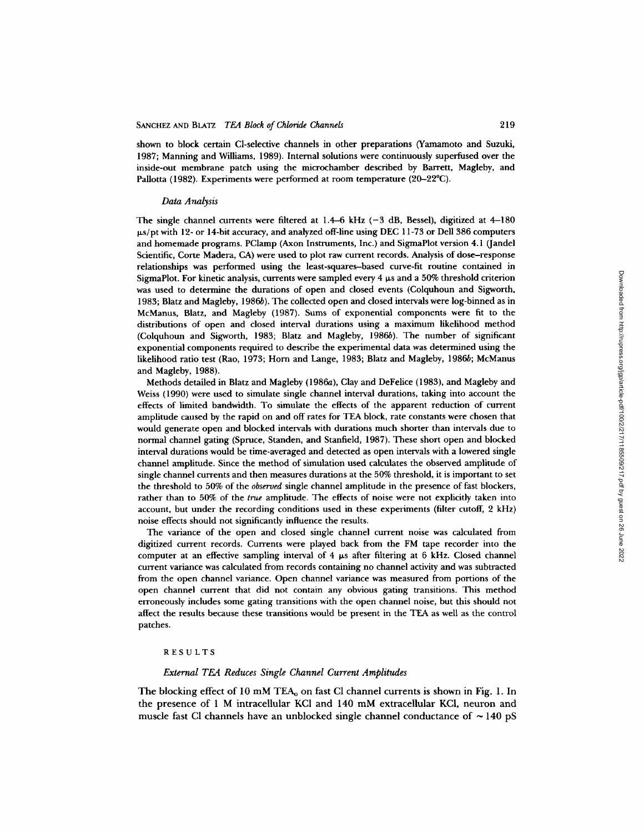shown to block certain Cl-selective channels in other preparations (Yamamoto and Suzuki, 1987; Manning and Williams, 1989). Internal solutions were continuously superfused over the inside-out membrane patch using the microchamber described by Barrett, Magleby, and Pallotta (1982). Experiments were performed at room temperature (20-22°C).

## *Data Analysis*

The single channel currents were filtered at  $1.4-6$  kHz ( $-3$  dB, Bessel), digitized at  $4-180$  $\mu$ s/pt with 12- or 14-bit accuracy, and analyzed off-line using DEC 11-73 or Dell 386 computers and homemade programs. PClamp (Axon Instruments, Inc.) and SigmaPlot version 4.1 (Jandel Scientific, Corte Madera, CA) were used to plot raw current records. Analysis of dose-response relationships was performed using the least-squares-based curve-fit routine contained in SigmaPlot. For kinetic analysis, currents were sampled every  $4 \mu s$  and a 50% threshold criterion was used to determine the durations of open and closed events (Colquhoun and Sigworth, 1983; Blatz and Magleby, 1986b). The collected open and closed intervals were log-binned as in McManus, Blatz, and Magleby (1987). Sums of exponential components were fit to the distributions of open and closed interval durations using a maximum likelihood method (Colquhoun and Sigworth, 1983; Blatz and Magleby, 1986b). The number of significant exponential components required to describe the experimental data was determined using the likelihood ratio test (Rao, 1973; Horn and Lange, 1983; Blatz and Magleby, 1986b; McManus and Magleby, 1988).

Methods detailed in Blatz and Magleby (1986a), Clay and DeFelice (1983), and Magleby and Weiss (1990) were used to simulate single channel interval durations, taking into account the effects of limited bandwidth. To simulate the effects of the apparent reduction of current amplitude caused by the rapid on and off rates for TEA block, rate constants were chosen that would generate open and blocked intervals with durations much shorter than intervals due to normal channel gating (Spruce, Standen, and Stanfield, 1987). These short open and blocked interval durations would be time-averaged and detected as open intervals with a lowered single channel amplitude. Since the method of simulation used calculates the observed amplitude of single channel currents and then measures durations at the 50% threshold, it is important to set the threshold to 50% of the *observed* single channel amplitude in the presence of fast blockers, rather than to 50% of the *true* amplitude. The effects of noise were not explicitly taken into account, but under the recording conditions used in these experiments (filter cutoff, 2 kHz) noise effects should not significantly influence the results.

The variance of the open and closed single channel current noise was calculated from digitized current records. Currents were played back from the FM tape recorder into the computer at an effective sampling interval of  $4 \mu s$  after filtering at 6 kHz. Closed channel current variance was calculated from records containing no channel activity and was subtracted from the open channel variance. Open channel variance was measured from portions of the open channel current that did not contain any obvious gating transitions. This method erroneously includes some gating transitions with the open channel noise, but this should not affect the results because these transitions would be present in the TEA as well as the control patches.

#### RESULTS

## *External TEA Reduces Single Channel Current Amplitudes*

The blocking effect of 10 mM TEA<sub>0</sub> on fast Cl channel currents is shown in Fig. 1. In the presence of 1 M intracellular KCl and 140 mM extracellular KCl, neuron and muscle fast Cl channels have an unblocked single channel conductance of  $\sim$  140 pS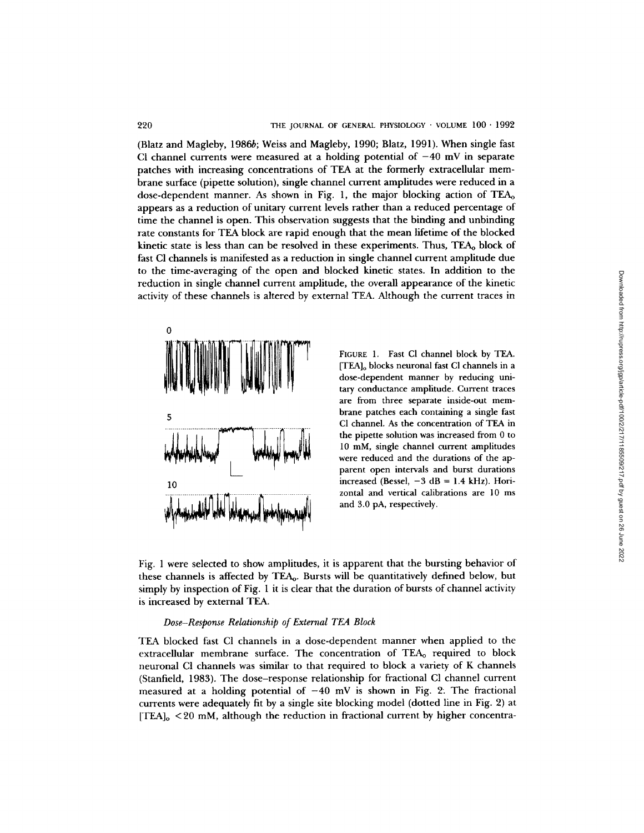(Blatz and Magleby, 1986b; Weiss and Magleby, 1990; Blatz, 1991). When single fast CI channel currents were measured at a holding potential of  $-40$  mV in separate patches with increasing concentrations of TEA at the formerly extracellular membrane surface (pipette solution), single channel current amplitudes were reduced in a dose-dependent manner. As shown in Fig. 1, the major blocking action of  $TEA<sub>o</sub>$ appears as a reduction of unitary current levels rather than a reduced percentage of time the channel is open. This observation suggests that the binding and unbinding rate constants for TEA block are rapid enough that the mean lifetime of the blocked kinetic state is less than can be resolved in these experiments. Thus, TEA<sub>0</sub> block of fast CI channels is manifested as a reduction in single channel current amplitude due to the time-averaging of the open and blocked kinetic states. In addition to the reduction in single channel current amplitude, the overall appearance of the kinetic activity of these channels is altered by external TEA. Although the current traces in



FIGURE 1. Fast C1 channel block by TEA. [TEA]o blocks neuronal fast CI channels in a dose-dependent manner by reducing unitary conductance amplitude. Current traces are from three separate inside-out membrane patches each containing a single fast C1 channel. As the concentration of TEA in the pipette solution was increased from 0 to 10 mM, single channel current amplitudes were reduced and the durations of the apparent open intervals and burst durations increased (Bessel,  $-3$  dB = 1.4 kHz). Horizontal and vertical calibrations are 10 ms and 3.0 pA, respectively.

Fig. 1 were selected to show amplitudes, it is apparent that the bursting behavior of these channels is affected by TEAo. Bursts will be quantitatively defined below, but simply by inspection of Fig. 1 it is clear that the duration of bursts of channel activity is increased by external TEA.

## *Dose-Response Relationship of External TEA Block*

TEA blocked fast C1 channels in a dose-dependent manner when applied to the extracellular membrane surface. The concentration of TEAo required to block neuronal C1 channels was similar to that required to block a variety of K channels (Stanfield, 1983). The dose-response relationship for fractional C1 channel current measured at a holding potential of  $-40$  mV is shown in Fig. 2. The fractional currents were adequately fit by a single site blocking model (dotted line in Fig. 2) at  $[TEA]_o < 20$  mM, although the reduction in fractional current by higher concentra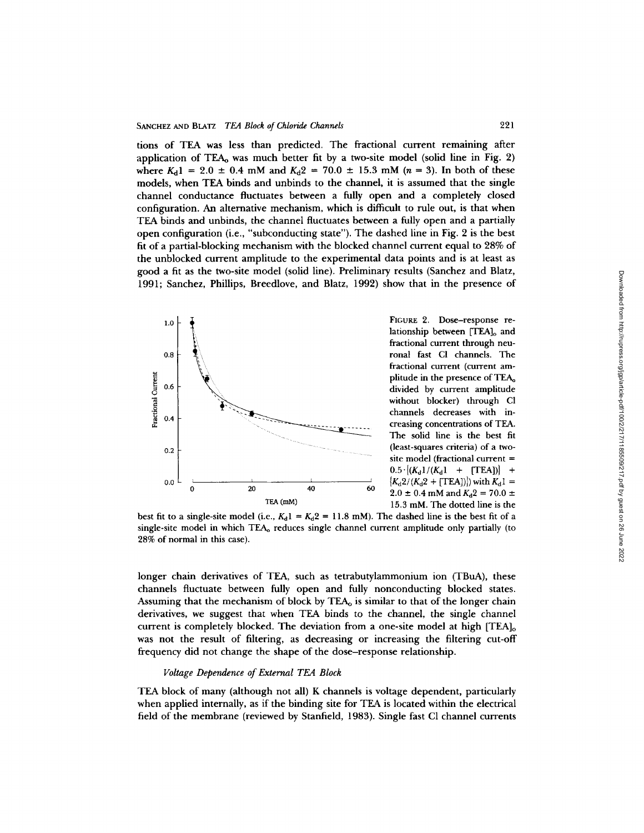tions of TEA was less than predicted. The fractional current remaining after application of TEAo was much better fit by a two-site model (solid line in Fig. 2) where  $K_d$ 1 = 2.0  $\pm$  0.4 mM and  $K_d$ 2 = 70.0  $\pm$  15.3 mM (n = 3). In both of these models, when TEA binds and unbinds to the channel, it is assumed that the single channel conductance fluctuates between a fully open and a completely closed configuration. An alternative mechanism, which is difficult to rule out, is that when TEA binds and unbinds, the channel fluctuates between a fully open and a partially open configuration (i.e., "subconducting state"). The dashed line in Fig. 2 is the best fit of a partial-blocking mechanism with the blocked channel current equal to 28% of the unblocked current amplitude to the experimental data points and is at least as good a fit as the two-site model (solid line). Preliminary results (Sanchez and Blatz, 1991; Sanchez, Phillips, Breedlove, and Blatz, 1992) show that in the presence of



lationship between [TEA]<sub>0</sub> and fractional current through neufractional current (current amplitude in the presence of TEA<sub>o</sub> without blocker) through CI creasing concentrations of TEA. The solid line is the best fit site model (fractional current =  $0.5 \cdot |(K_d1/(K_d1 + [TEA])| +$  $^{40}$  <sup>00</sup>  $2.0 \pm 0.4$  mM and  $K_d^2 = 70.0 \pm 0.4$ <br>TEA (mM) 1.5.3 mM. The dotted line is the 15.3 mM. The dotted line is the

best fit to a single-site model (i.e.,  $K_d$ 1 =  $K_d$ 2 = 11.8 mM). The dashed line is the best fit of a single-site model in which TEA<sub>0</sub> reduces single channel current amplitude only partially (to 28% of normal in this case).

longer chain derivatives of TEA, such as tetrabutylammonium ion (TBuA), these channels fluctuate between fully open and fully nonconducting blocked states. Assuming that the mechanism of block by  $TEA<sub>o</sub>$  is similar to that of the longer chain derivatives, we suggest that when TEA binds to the channel, the single channel current is completely blocked. The deviation from a one-site model at high  $[TEA]_o$ was not the result of filtering, as decreasing or increasing the filtering cut-off frequency did not change the shape of the dose-response relationship.

# *Voltage Dependence of External TEA Block*

TEA block of many (although not all) K channels is voltage dependent, particularly when applied internally, as if the binding site for TEA is located within the electrical field of the membrane (reviewed by Stanfield, 1983). Single fast C1 channel currents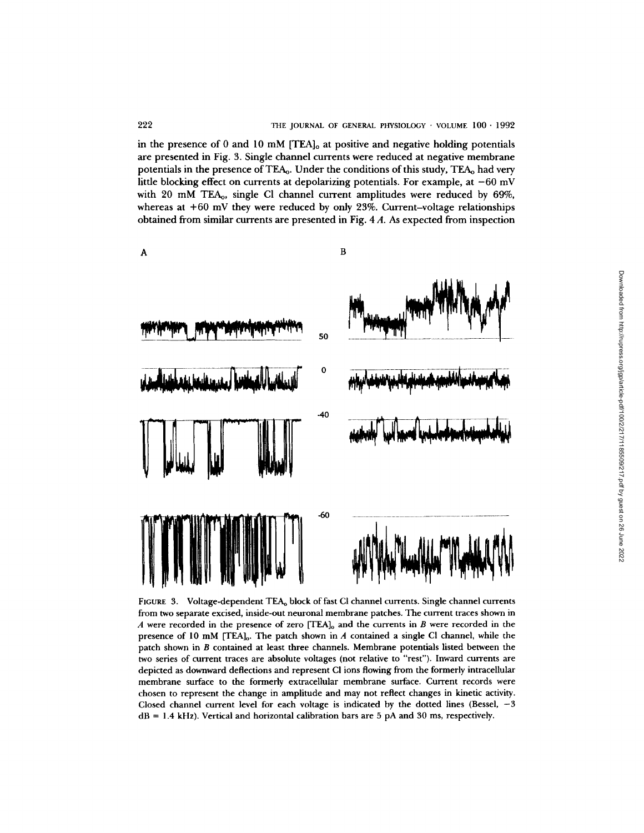in the presence of 0 and 10 mM  $[TEA]_0$  at positive and negative holding potentials are presented in Fig. 3. Single channel currents were reduced at negative membrane potentials in the presence of TEAo. Under the conditions of this study, TEA,, had very little blocking effect on currents at depolarizing potentials. For example, at  $-60$  mV with 20 mM TEA<sub>0</sub>, single Cl channel current amplitudes were reduced by 69%, whereas at +60 mV they were reduced by only 23%. Current-voltage relationships obtained from similar currents are presented in Fig. 4 A. As expected from inspection



FIGURE 3. Voltage-dependent TEA<sub>0</sub> block of fast CI channel currents. Single channel currents from two separate excised, inside-out neuronal membrane patches. The current traces shown in A were recorded in the presence of zero  $[TEA]_0$  and the currents in B were recorded in the presence of 10 mM [TEA] $_o$ . The patch shown in A contained a single CI channel, while the patch shown in B contained at least three channels. Membrane potentials listed between the two series of current traces are absolute voltages (not relative to "rest"). Inward currents are depicted as downward deflections and represent CI ions flowing from the formerly intracellular membrane surface to the formerly extracellular membrane surface. Current records were chosen to represent the change in amplitude and may not reflect changes in kinetic activity. Closed channel current level for each voltage is indicated by the dotted lines (Bessel,  $-3$  $dB = 1.4$  kHz). Vertical and horizontal calibration bars are 5 pA and 30 ms, respectively.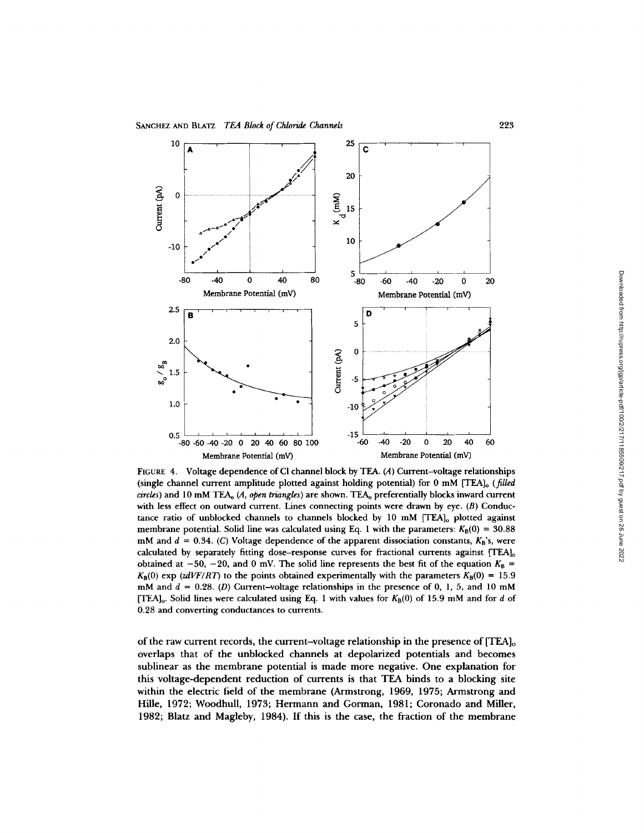

FIGURE 4. Voltage dependence of Cl channel block by TEA. (A) Current-voltage relationships (single channel current amplitude plotted against holding potential) for 0 mM [TEA]<sub>0</sub> (*filled circles)* and 10 mM TEAo (A, *open triangles)* are shown. TEAo preferentially blocks inward current with less effect on outward current. Lines connecting points were drawn by eye. (B) Conductance ratio of unblocked channels to channels blocked by 10 mM [TEA]<sub>o</sub> plotted against membrane potential. Solid line was calculated using Eq. 1 with the parameters:  $K_B(0) = 30.88$ mM and  $d = 0.34$ . (C) Voltage dependence of the apparent dissociation constants,  $K_B$ 's, were calculated by separately fitting dose–response curves for fractional currents against  $[TEA]_o$ obtained at -50, -20, and 0 mV. The solid line represents the best fit of the equation  $K_B$  =  $K_{\text{B}}(0)$  exp (zdVF/RT) to the points obtained experimentally with the parameters  $K_{\text{B}}(0) = 15.9$ mM and  $d = 0.28$ . (D) Current-voltage relationships in the presence of 0, 1, 5, and 10 mM [TEA]<sub>o</sub>. Solid lines were calculated using Eq. 1 with values for  $K_B(0)$  of 15.9 mM and for d of 0.28 and converting conductances to currents.

of the raw current records, the current-voltage relationship in the presence of  $[TEA]_0$ overlaps that of the unblocked channels at depolarized potentials and becomes sublinear as the membrane potential is made more negative. One explanation for this voltage-dependent reduction of currents is that TEA binds to a blocking site within the electric field of the membrane (Armstrong, 1969, 1975; Armstrong and Hille, 1972; Woodhull, 1973; Hermann and Gorman, 1981; Coronado and Miller, 1982; Blatz and Magleby, 1984). If this is the case, the fraction of the membrane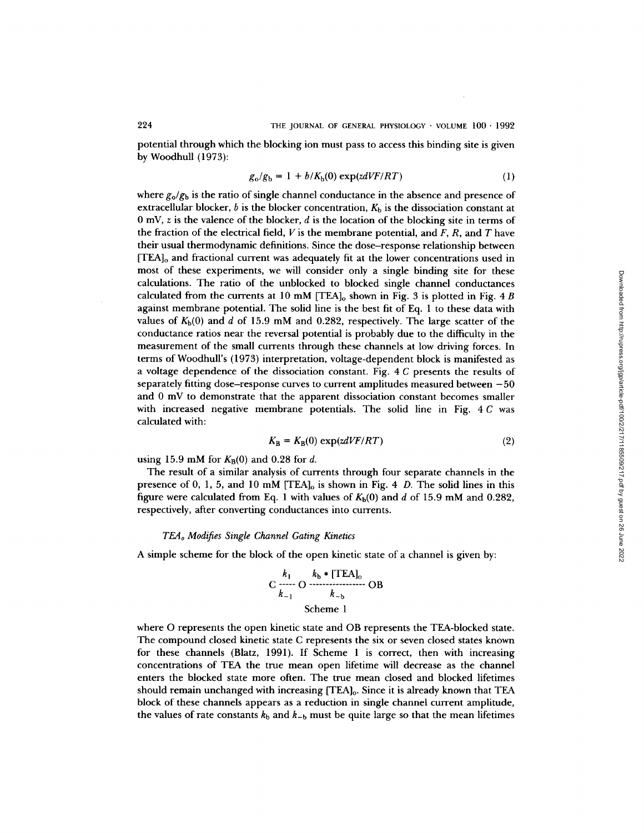potential through which the blocking ion must pass to access this binding site is given by Woodhull (1973):

$$
g_o/g_b = 1 + b/K_b(0) \exp(\frac{z dV}{F/RT})
$$
 (1)

where  $g_{\rm o}/g_{\rm b}$  is the ratio of single channel conductance in the absence and presence of extracellular blocker, b is the blocker concentration,  $K<sub>b</sub>$  is the dissociation constant at  $0 \text{ mV}$ , z is the valence of the blocker, d is the location of the blocking site in terms of the fraction of the electrical field,  $V$  is the membrane potential, and  $F$ ,  $R$ , and  $T$  have their usual thermodynamic definitions. Since the dose-response relationship between  $[TEA]_o$  and fractional current was adequately fit at the lower concentrations used in most of these experiments, we will consider only a single binding site for these calculations. The ratio of the unblocked to blocked single channel conductances calculated from the currents at 10 mM [TEA]<sub>0</sub> shown in Fig. 3 is plotted in Fig. 4 B against membrane potential. The solid line is the best fit of Eq. 1 to these data with values of  $K_b(0)$  and d of 15.9 mM and 0.282, respectively. The large scatter of the conductance ratios near the reversal potential is probably due to the difficulty in the measurement of the small currents through these channels at low driving forces. In terms of Woodhull's (1973) interpretation, voltage-dependent block is manifested as a voltage dependence of the dissociation constant. Fig. 4 C presents the results of separately fitting dose-response curves to current amplitudes measured between  $-50$ and 0 mV to demonstrate that the apparent dissociation constant becomes smaller with increased negative membrane potentials. The solid line in Fig. 4 C was calculated with:

$$
K_{\rm B} = K_{\rm B}(0) \exp(\frac{z dV}{F/RT}) \tag{2}
$$

using 15.9 mM for  $K_B(0)$  and 0.28 for d.

The result of a similar analysis of currents through four separate channels in the presence of 0, 1, 5, and 10 mM  $[TEA]_0$  is shown in Fig. 4 D. The solid lines in this figure were calculated from Eq. 1 with values of  $K_b(0)$  and d of 15.9 mM and 0.282, respectively, after converting conductances into currents.

#### *TEAo Modifies Single Channel Gating Kinetics*

A simple scheme for the block of the open kinetic state of a channel is given by:

$$
C \xrightarrow{k_1} O \xrightarrow{k_b * [TEA]_0} OB
$$
  
\n
$$
k_{-1} \xrightarrow{k_{-b}} OB
$$
  
\nScheme 1

where O represents the open kinetic state and OB represents the TEA-blocked state. The compound closed kinetic state C represents the six or seven closed states known for these channels (Blatz, 1991). If Scheme 1 is correct, then with increasing concentrations of TEA the true mean open lifetime will decrease as the channel enters the blocked state more often. The true mean closed and blocked lifetimes should remain unchanged with increasing [TEA]o. Since it is already known that TEA block of these channels appears as a reduction in single channel current amplitude, the values of rate constants  $k_b$  and  $k_{-b}$  must be quite large so that the mean lifetimes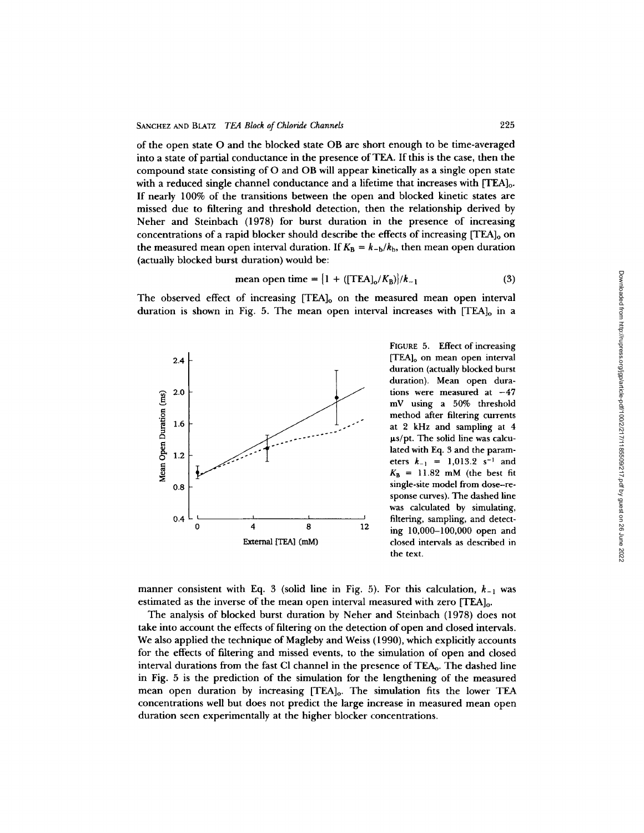of the open state O and the blocked state OB are short enough to be time-averaged into a state of partial conductance in the presence of TEA. If this is the case, then the compound state consisting of O and OB will appear kinetically as a single open state with a reduced single channel conductance and a lifetime that increases with  $[TEA]_0$ . If nearly 100% of the transitions between the open and blocked kinetic states are missed due to filtering and threshold detection, then the relationship derived by Neher and Steinbach (1978) for burst duration in the presence of increasing concentrations of a rapid blocker should describe the effects of increasing  $[TEA]_0$  on the measured mean open interval duration. If  $K_B = k_{-b}/k_b$ , then mean open duration (actually blocked burst duration) would be:

mean open time = 
$$
{1 + ([TEA]o/KB)}/k_{-1}
$$
 (3)

The observed effect of increasing [TEA]<sub>0</sub> on the measured mean open interval duration is shown in Fig. 5. The mean open interval increases with  $[TEA]_0$  in a



FIGURE 5. Effect of increasing [TEA]<sub>o</sub> on mean open interval duration (actually blocked burst duration). Mean open durations were measured at  $-47$ mV using a 50% threshold method after filtering currents at 2 kHz and sampling at 4  $\mu$ s/pt. The solid line was calculated with Eq. 3 and the parameters  $k_{-1} = 1,013.2 \text{ s}^{-1}$  and  $K_B = 11.82$  mM (the best fit single-site model from dose-response curves). The dashed line was calculated by simulating, filtering, sampling, and detecting 10,000-100,000 open and closed intervals as described in the text.

manner consistent with Eq. 3 (solid line in Fig. 5). For this calculation,  $k_{-1}$  was estimated as the inverse of the mean open interval measured with zero [TEA]o.

The analysis of blocked burst duration by Neher and Steinbach (1978) does not take into account the effects of filtering on the detection of open and closed intervals. We also applied the technique of Magleby and Weiss (1990), which explicitly accounts for the effects of filtering and missed events, to the simulation of open and closed interval durations from the fast Cl channel in the presence of TEA<sub>0</sub>. The dashed line in Fig. 5 is the prediction of the simulation for the lengthening of the measured mean open duration by increasing [TEA]<sub>0</sub>. The simulation fits the lower TEA concentrations well but does not predict the large increase in measured mean open duration seen experimentally at the higher blocker concentrations.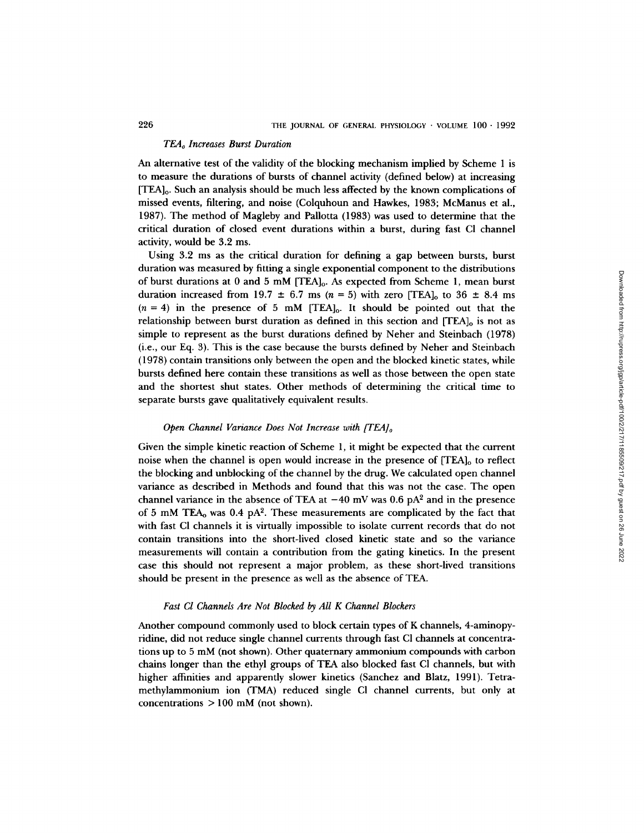#### *TEAo Increases Burst Duration*

An alternative test of the validity of the blocking mechanism implied by Scheme 1 is to measure the durations of bursts of channel activity (defined below) at increasing [TEA]o. Such an analysis should be much less affected by the known complications of missed events, filtering, and noise (Colquhoun and Hawkes, 1983; McManus et al., 1987). The method of Magleby and Pallotta (1983) was used to determine that the critical duration of closed event durations within a burst, during fast CI channel activity, would be 3.2 ms.

Using 3.2 ms as the critical duration for defining a gap between bursts, burst duration was measured by fitting a single exponential component to the distributions of burst durations at 0 and 5 mM [TEA]o. As expected from Scheme 1, mean burst duration increased from 19.7  $\pm$  6.7 ms (n = 5) with zero [TEA]<sub>o</sub> to 36  $\pm$  8.4 ms  $(n = 4)$  in the presence of 5 mM [TEA]<sub>0</sub>. It should be pointed out that the relationship between burst duration as defined in this section and  $[TEA]_0$  is not as simple to represent as the burst durations defined by Neher and Steinbach (1978) (i.e., our Eq. 3). This is the case because the bursts defined by Neher and Steinbach (1978) contain transitions only between the open and the blocked kinetic states, while bursts defined here contain these transitions as well as those between the open state and the shortest shut states. Other methods of determining the critical time to separate bursts gave qualitatively equivalent results.

## *Open Channel Variance Does Not Increase with [TEA]*<sup>o</sup>

Given the simple kinetic reaction of Scheme 1, it might be expected that the current noise when the channel is open would increase in the presence of  $[TEA]_0$  to reflect the blocking and unblocking of the channel by the drug. We calculated open channel variance as described in Methods and found that this was not the case. The open channel variance in the absence of TEA at  $-40$  mV was 0.6 pA<sup>2</sup> and in the presence of 5 mM TEA<sub>0</sub> was  $0.4$  pA<sup>2</sup>. These measurements are complicated by the fact that with fast CI channels it is virtually impossible to isolate current records that do not contain transitions into the short-lived closed kinetic state and so the variance measurements will contain a contribution from the gating kinetics. In the present case this should not represent a major problem, as these short-lived transitions should be present in the presence as well as the absence of TEA.

## *Fast Cl Channels Are Not Blocked by All K Channel Blockers*

Another compound commonly used to block certain types of K channels, 4-aminopyridine, did not reduce single channel currents through fast CI channels at concentrations up to 5 mM (not shown). Other quaternary ammonium compounds with carbon chains longer than the ethyl groups of TEA also blocked fast CI channels, but with higher affinities and apparently slower kinetics (Sanchez and Blatz, 1991). Tetramethylammonium ion (TMA) reduced single CI channel currents, but only at concentrations > 100 mM (not shown).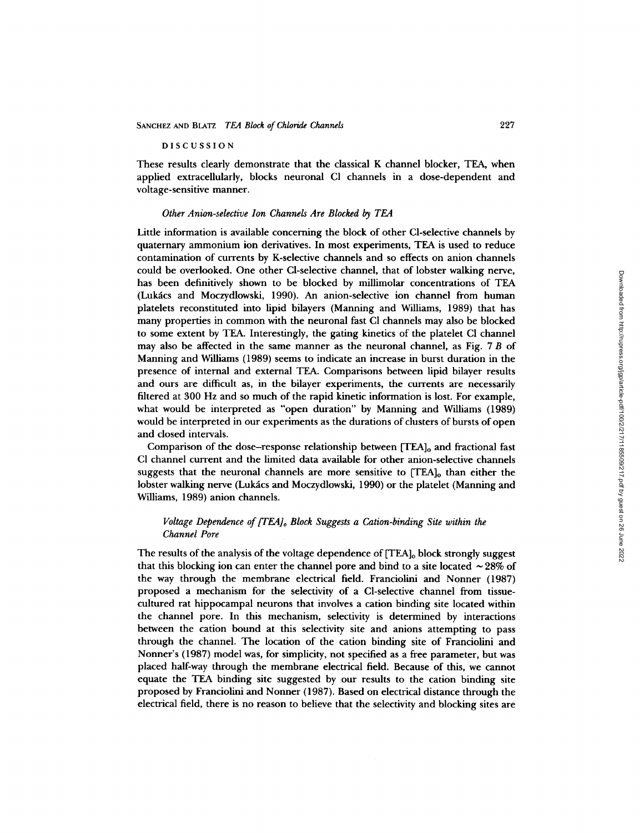DISCUSSION

These results clearly demonstrate that the classical K channel blocker, TEA, when applied extracellularly, blocks neuronal C1 channels in a dose-dependent and voltage-sensitive manner.

## *Other Anion-selective Ion Channels Are Blocked by TEA*

Little information is available concerning the block of other Cl-selective channels by quaternary ammonium ion derivatives. In most experiments, TEA is used to reduce contamination of currents by K-selective channels and so effects on anion channels could be overlooked. One other Cl-selective channel, that of lobster walking nerve, has been definitively shown to be blocked by millimolar concentrations of TEA (Lukács and Moczydlowski, 1990). An anion-selective ion channel from human platelets reconstituted into lipid bilayers (Manning and Williams, 1989) that has many properties in common with the neuronal fast CI channels may also be blocked to some extent by TEA. Interestingly, the gating kinetics of the platelet CI channel may also be affected in the same manner as the neuronal channel, as Fig. 7 B of Manning and Williams (1989) seems to indicate an increase in burst duration in the presence of internal and external TEA. Comparisons between lipid bilayer results and ours are difficult as, in the bilayer experiments, the currents are necessarily filtered at 300 Hz and so much of the rapid kinetic information is lost. For example, what would be interpreted as "open duration" by Manning and Williams (1989) would be interpreted in our experiments as the durations of clusters of bursts of open and closed intervals.

Comparison of the dose-response relationship between [TEA]<sub>o</sub> and fractional fast CI channel current and the limited data available for other anion-selective channels suggests that the neuronal channels are more sensitive to  $[TEA]_0$  than either the lobster walking nerve (Lukács and Moczydlowski, 1990) or the platelet (Manning and Williams, 1989) anion channels.

# *Voltage Dependence of [TEA]<sub>o</sub> Block Suggests a Cation-binding Site within the Channel Pore*

The results of the analysis of the voltage dependence of [TEA]<sub>o</sub> block strongly suggest that this blocking ion can enter the channel pore and bind to a site located  $\sim$  28% of the way through the membrane electrical field. Franciolini and Nonner (1987) proposed a mechanism for the selectivity of a Cl-selective channel from tissuecultured rat hippocampal neurons that involves a cation binding site located within the channel pore. In this mechanism, selectivity is determined by interactions between the cation bound at this selectivity site and anions attempting to pass through the channel. The location of the cation binding site of Franciolini and Nonner's (1987) model was, for simplicity, not specified as a free parameter, but was placed half-way through the membrane electrical field. Because of this, we cannot equate the TEA binding site suggested by our results to the cation binding site proposed by Franciolini and Nonner (1987). Based on electrical distance through the electrical field, there is no reason to believe that the selectivity and blocking sites are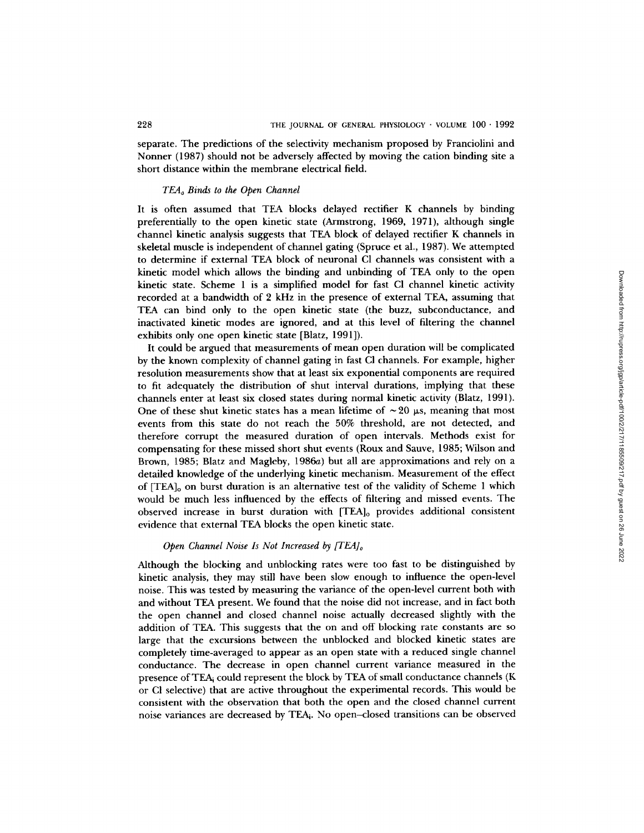separate. The predictions of the selectivity mechanism proposed by Franciolini and Nonner (1987) should not be adversely affected by moving the cation binding site a short distance within the membrane electrical field.

# *TEAo Binds to the Open Channel*

It is often assumed that TEA blocks delayed rectifier K channels by binding preferentially to the open kinetic state (Armstrong, 1969, 1971), although single channel kinetic analysis suggests that TEA block of delayed rectifier K channels in skeletal muscle is independent of channel gating (Spruce et al., 1987). We attempted to determine if external TEA block of neuronal C1 channels was consistent with a kinetic model which allows the binding and unbinding of TEA only to the open kinetic state. Scheme 1 is a simplified model for fast CI channel kinetic activity recorded at a bandwidth of 2 kHz in the presence of external TEA, assuming that TEA can bind only to the open kinetic state (the buzz, subconductance, and inactivated kinetic modes are ignored, and at this level of filtering the channel exhibits only one open kinetic state [Blatz, 1991]).

It could be argued that measurements of mean open duration will be complicated by the known complexity of channel gating in fast CI channels. For example, higher resolution measurements show that at least six exponential components are required to fit adequately the distribution of shut interval durations, implying that these channels enter at least six closed states during normal kinetic activity (Blatz, 1991). One of these shut kinetic states has a mean lifetime of  $\sim$  20  $\mu$ s, meaning that most events from this state do not reach the 50% threshold, are not detected, and therefore corrupt the measured duration of open intervals. Methods exist for compensating for these missed short shut events (Roux and Sauve, 1985; Wilson and Brown, 1985; Blatz and Magleby, 1986a) but all are approximations and rely on a detailed knowledge of the underlying kinetic mechanism. Measurement of the effect of [TEA]o on burst duration is an alternative test of the validity of Scheme 1 which would be much less influenced by the effects of filtering and missed events. The observed increase in burst duration with  $[TEA]_0$  provides additional consistent evidence that external TEA blocks the open kinetic state.

# *Open Channel Noise Is Not Increased by [TEA]o*

Although the blocking and unblocking rates were too fast to be distinguished by kinetic analysis, they may still have been slow enough to influence the open-level noise. This was tested by measuring the variance of the open-level current both with and without TEA present. We found that the noise did not increase, and in fact both the open channel and closed channel noise actually decreased slightly with the addition of TEA. This suggests that the on and off blocking rate constants are so large that the excursions between the unblocked and blocked kinetic states are completely time-averaged to appear as an open state with a reduced single channel conductance. The decrease in open channel current variance measured in the presence of TEAi could represent the block by TEA of small conductance channels (K or CI selective) that are active throughout the experimental records. This would be consistent with the observation that both the open and the closed channel current noise variances are decreased by TEAi. No open-closed transitions can be observed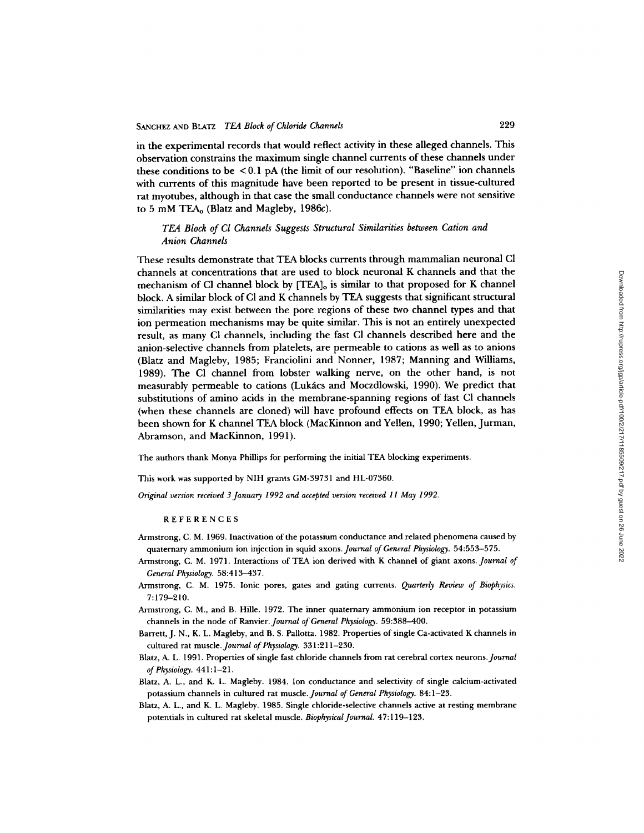in the experimental records that would reflect activity in these alleged channels. This observation constrains the maximum single channel currents of these channels under these conditions to be < 0.1 pA (the limit of our resolution). "Baseline" ion channels with currents of this magnitude have been reported to be present in tissue-cultured rat myotubes, although in that case the small conductance channels were not sensitive to 5 mM TEA<sub>o</sub> (Blatz and Magleby, 1986c).

# *TEA Block of Cl Channels Suggests Structural Similarities between Cation and Anion Channels*

These results demonstrate that TEA blocks currents through mammalian neuronal C1 channels at concentrations that are used to block neuronal K channels and that the mechanism of CI channel block by  ${[TEA]}_0$  is similar to that proposed for K channel block. A similar block of CI and K channels by TEA suggests that significant structural similarities may exist between the pore regions of these two channel types and that ion permeation mechanisms may be quite similar. This is not an entirely unexpected result, as many CI channels, including the fast CI channels described here and the anion-selective channels from platelets, are permeable to cations as well as to anions (Blatz and Magleby, 1985; Franciolini and Nonner, 1987; Manning and Williams, 1989). The CI channel from lobster walking nerve, on the other hand, is not measurably permeable to cations (Lukács and Moczdlowski, 1990). We predict that substitutions of amino acids in the membrane-spanning regions of fast CI channels (when these channels are cloned) will have profound effects on TEA block, as has been shown for K channel TEA block (MacKinnon and Yellen, 1990; Yellen, Jurman, Abramson, and MacKinnon, 1991).

The authors thank Monya Phillips for performing the initial TEA blocking experiments.

This work was supported by NIH grants GM-39731 and HL-07360.

*Original version received 3January 1992 and accepted version received 11 May 1992.* 

**REFERENCES** 

- Armstrong, C. M. 1969. Inactivation of the potassium conductance and related phenomena caused by quaternary ammonium ion injection in squid *axons.Journal of General Physiology.* 54:553-575.
- Armstrong, C. M. 1971. Interactions of TEA ion derived with K channel of giant axons. *Journal of General Physiology.* 58:413-437.
- Armstrong, C. M. 1975. Ionic pores, gates and gating currents. *Quarterly Review of Biophysics.*  7:179-210.
- Armstrong, C. M., and B. Hille. 1972. The inner quaternary ammonium ion receptor in potassium channels in the node of Ranvier. *Journal of General Physiology.* 59:388-400.
- Barrett, J. N., K. L. Magleby, and B. S. Pallotta. 1982. Properties of single Ca-activated K channels in cultured rat muscle. *Journal of Physiology.* 331:211-230.
- Blatz, A. L. 1991. Properties of single fast chloride channels from rat cerebral cortex *neurons.Journal of Physiology.* 441:1-21.
- Blatz, A. L., and K. L. Magleby. 1984. Ion conductance and selectivity of single calcium-activated potassium channels in cultured rat muscle. *Journal of General Physiology.* 84:1-23.
- Blatz, A. L., and K. L. Magleby. 1985. Single chloride-selective channels active at resting membrane potentials in cultured rat skeletal muscle. *Biophysical Journal.* 47:119-123.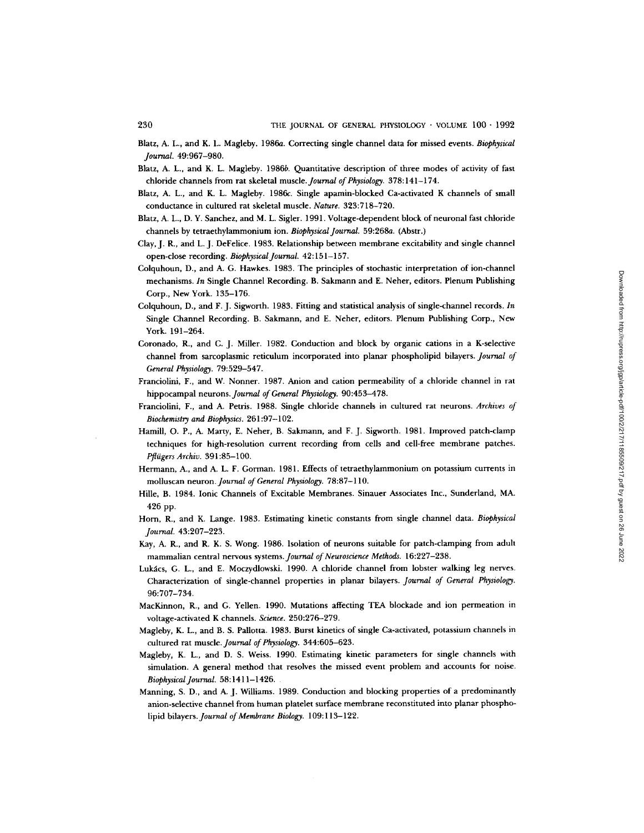- Blatz, A. L., and K. L. Magleby. 1986a. Correcting single channel data for missed events. *Biophysical Journal.* 49:967-980.
- Blatz, A. L., and K. L. Magleby. 1986b. Quantitative description of three modes of activity of fast chloride channels from rat skeletal muscle. *Journal of Physiology.* 378:141-174.
- Blatz, A. L., and K. L. Magleby. 1986c. Single apamin-blocked Ca-activated K channels of small conductance in cultured rat skeletal muscle. *Nature.* 323:718-720.
- Blatz, A. L., D. Y. Sanchez, and M. L. Sigler. 1991. Voltage-dependent block of neuronal fast chloride channels by tetraethylammonium ion. *Biophysical Journal.* 59:268a. (Abstr.)
- Clay, J. R., and L.J. DeFelice. 1983. Relationship between membrane excitability and single channel open-close recording. *Biophysical Journal.* 42:151-157.
- Colquhoun, D., and A. G. Hawkes. 1983. The principles of stochastic interpretation of ion-channel mechanisms. *In* Single Channel Recording. B. Sakmann and E. Neher, editors. Plenum Publishing Corp., New York. 135-176.
- Colquhoun, D., and F. J. Sigworth. 1983. Fitting and statistical analysis of single-channel records. *In*  Single Channel Recording. B. Sakmann, and E. Neher, editors. Plenum Publishing Corp., New York. 191-264.
- Coronado, R., and C. J. Miller. 1982. Conduction and block by organic cations in a K-selective channel from sarcoplasmic reticulum incorporated into planar phospholipid bilayers. *Journal of General Physiology.* 79:529-547.
- Franciolini, F., and W. Nonner. 1987. Anion and cation permeability of a chloride channel in rat hippocampal neurons. *Journal of General Physiology.* 90:453-478.
- Franciolini, F., and A. Petris. 1988. Single chloride channels in cultured rat neurons. *Archives of Biochemistry and Biophysics.* 261:97-102.
- Hamill, O. P., A. Marty, E. Neher, B. Sakmann, and F. J. Sigworth. 1981. Improved patch-clamp techniques for high-resolution current recording from cells and cell-free membrane patches. *Pflügers Archiv.* 391:85-100.
- Hermann, A., and A. L. F. Gorman. 1981. Effects of tetraethylammonium on potassium currents in molluscan neuron. *Journal of General Physiology.* 78:87-110.
- Hille, B. 1984. Ionic Channels of Excitable Membranes. Sinauer Associates Inc., Sunderland, MA. 426 pp.
- Horn, R., and K. Lange. 1983. Estimating kinetic constants from single channel data. *Biophysical Journal.* 43:207-223.
- Kay, A. R., and R. K. S. Wong. 1986. Isolation of neurons suitable for patch-clamping from adult mammalian central nervous *systems.Journal of Neuroscience Methods.* 16:227-238.
- Lukács, G. L., and E. Moczydlowski. 1990. A chloride channel from lobster walking leg nerves. Characterization of single-channel properties in planar bilayers. *Journal of General Physiology.*  96:707-734.
- MacKinnon, R., and G. Yellen. 1990. Mutations affecting TEA blockade and ion permeation in voltage-activated K channels. *Science.* 250:276-279.
- Magleby, K. L., and B. S. Pallotta. 1983. Burst kinetics of single Ca-activated, potassium channels in cultured rat *muscle.Journal of Physiology.* 344:605-623.
- Magleby, K. L., and D. S. Weiss. 1990. Estimating kinetic parameters for single channels with simulation. A general method that resolves the missed event problem and accounts for noise. *Biophysical Journal.* 58:1411-1426.
- Manning, S. D., and A. J. Williams. 1989. Conduction and blocking properties of a predominantly anion-selective channel from human platelet surface membrane reconstituted into planar phospholipid bilayers. *Journal of Membrane Biology.* 109:113-122.